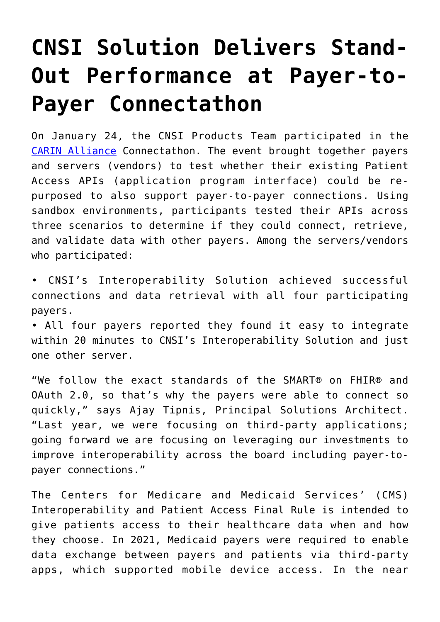## **[CNSI Solution Delivers Stand-](https://www.cns-inc.com/insights/thought-leadership/cnsi-delivers-stand-out-performance-at-payer-to-payer-connectathon/)[Out Performance at Payer-to-](https://www.cns-inc.com/insights/thought-leadership/cnsi-delivers-stand-out-performance-at-payer-to-payer-connectathon/)[Payer Connectathon](https://www.cns-inc.com/insights/thought-leadership/cnsi-delivers-stand-out-performance-at-payer-to-payer-connectathon/)**

On January 24, the CNSI Products Team participated in the [CARIN Alliance](https://www.carinalliance.com/) Connectathon. The event brought together payers and servers (vendors) to test whether their existing Patient Access APIs (application program interface) could be repurposed to also support payer-to-payer connections. Using sandbox environments, participants tested their APIs across three scenarios to determine if they could connect, retrieve, and validate data with other payers. Among the servers/vendors who participated:

• CNSI's Interoperability Solution achieved successful connections and data retrieval with all four participating payers.

• All four payers reported they found it easy to integrate within 20 minutes to CNSI's Interoperability Solution and just one other server.

"We follow the exact standards of the SMART® on FHIR® and OAuth 2.0, so that's why the payers were able to connect so quickly," says Ajay Tipnis, Principal Solutions Architect. "Last year, we were focusing on third-party applications; going forward we are focusing on leveraging our investments to improve interoperability across the board including payer-topayer connections."

The Centers for Medicare and Medicaid Services' (CMS) Interoperability and Patient Access Final Rule is intended to give patients access to their healthcare data when and how they choose. In 2021, Medicaid payers were required to enable data exchange between payers and patients via third-party apps, which supported mobile device access. In the near